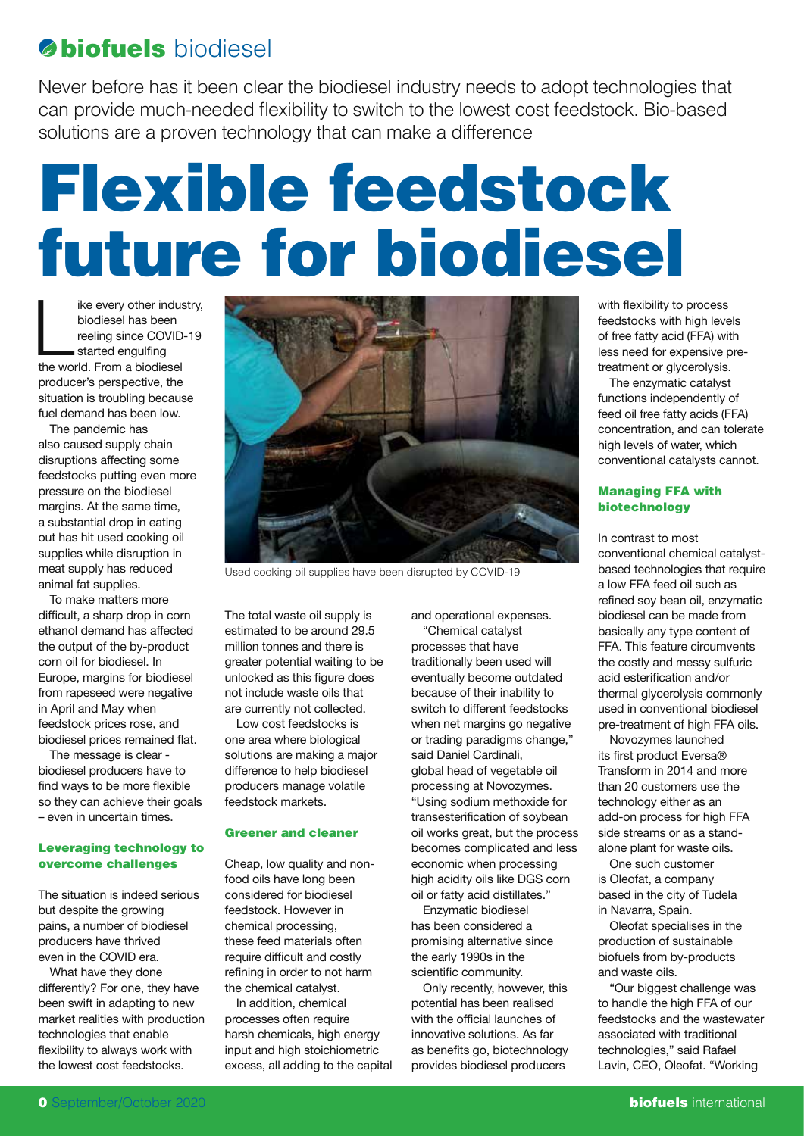# **biofuels** biodiesel

Never before has it been clear the biodiesel industry needs to adopt technologies that can provide much-needed flexibility to switch to the lowest cost feedstock. Bio-based solutions are a proven technology that can make a difference

# Flexible feedstock future for biodiesel

ike every other indus<br>biodiesel has been<br>reeling since COVID-<br>started engulfing<br>the world. From a biodiesel ike every other industry, biodiesel has been reeling since COVID-19 started engulfing producer's perspective, the situation is troubling because fuel demand has been low.

The pandemic has also caused supply chain disruptions affecting some feedstocks putting even more pressure on the biodiesel margins. At the same time, a substantial drop in eating out has hit used cooking oil supplies while disruption in meat supply has reduced animal fat supplies.

To make matters more difficult, a sharp drop in corn ethanol demand has affected the output of the by-product corn oil for biodiesel. In Europe, margins for biodiesel from rapeseed were negative in April and May when feedstock prices rose, and biodiesel prices remained flat.

The message is clear biodiesel producers have to find ways to be more flexible so they can achieve their goals – even in uncertain times.

### Leveraging technology to overcome challenges

The situation is indeed serious but despite the growing pains, a number of biodiesel producers have thrived even in the COVID era.

What have they done differently? For one, they have been swift in adapting to new market realities with production technologies that enable flexibility to always work with the lowest cost feedstocks.



Used cooking oil supplies have been disrupted by COVID-19

The total waste oil supply is estimated to be around 29.5 million tonnes and there is greater potential waiting to be unlocked as this figure does not include waste oils that are currently not collected.

Low cost feedstocks is one area where biological solutions are making a major difference to help biodiesel producers manage volatile feedstock markets.

## Greener and cleaner

Cheap, low quality and nonfood oils have long been considered for biodiesel feedstock. However in chemical processing, these feed materials often require difficult and costly refining in order to not harm the chemical catalyst.

In addition, chemical processes often require harsh chemicals, high energy input and high stoichiometric excess, all adding to the capital and operational expenses. "Chemical catalyst processes that have traditionally been used will eventually become outdated because of their inability to switch to different feedstocks when net margins go negative or trading paradigms change," said Daniel Cardinali, global head of vegetable oil processing at Novozymes. "Using sodium methoxide for transesterification of soybean oil works great, but the process becomes complicated and less economic when processing high acidity oils like DGS corn oil or fatty acid distillates."

Enzymatic biodiesel has been considered a promising alternative since the early 1990s in the scientific community.

Only recently, however, this potential has been realised with the official launches of innovative solutions. As far as benefits go, biotechnology provides biodiesel producers

with flexibility to process feedstocks with high levels of free fatty acid (FFA) with less need for expensive pretreatment or glycerolysis.

The enzymatic catalyst functions independently of feed oil free fatty acids (FFA) concentration, and can tolerate high levels of water, which conventional catalysts cannot.

### Managing FFA with biotechnology

In contrast to most conventional chemical catalystbased technologies that require a low FFA feed oil such as refined soy bean oil, enzymatic biodiesel can be made from basically any type content of FFA. This feature circumvents the costly and messy sulfuric acid esterification and/or thermal glycerolysis commonly used in conventional biodiesel pre-treatment of high FFA oils.

Novozymes launched its first product Eversa® Transform in 2014 and more than 20 customers use the technology either as an add-on process for high FFA side streams or as a standalone plant for waste oils.

One such customer is Oleofat, a company based in the city of Tudela in Navarra, Spain.

Oleofat specialises in the production of sustainable biofuels from by-products and waste oils.

"Our biggest challenge was to handle the high FFA of our feedstocks and the wastewater associated with traditional technologies," said Rafael Lavin, CEO, Oleofat. "Working